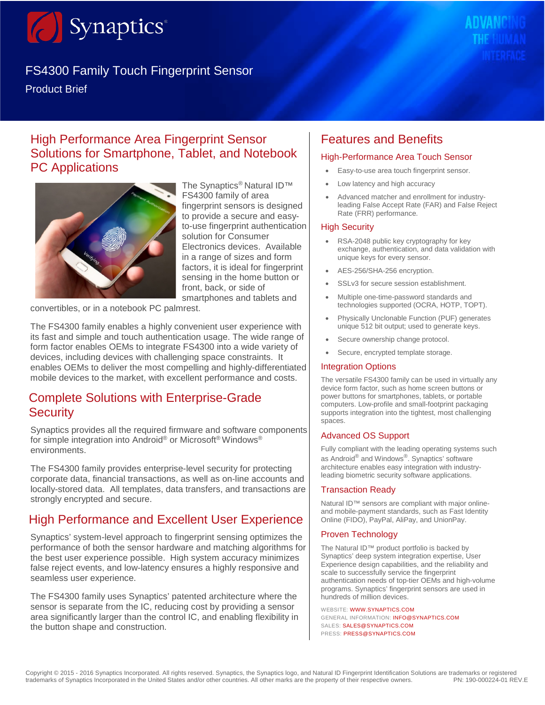

# FS4300 Family Touch Fingerprint Sensor

# High Performance Area Fingerprint Sensor Solutions for Smartphone, Tablet, and Notebook PC Applications



The Synaptics<sup>®</sup> Natural ID™ FS4300 family of area fingerprint sensors is designed to provide a secure and easyto-use fingerprint authentication solution for Consumer Electronics devices. Available in a range of sizes and form factors, it is ideal for fingerprint sensing in the home button or front, back, or side of smartphones and tablets and

convertibles, or in a notebook PC palmrest.

The FS4300 family enables a highly convenient user experience with its fast and simple and touch authentication usage. The wide range of form factor enables OEMs to integrate FS4300 into a wide variety of devices, including devices with challenging space constraints. It enables OEMs to deliver the most compelling and highly-differentiated mobile devices to the market, with excellent performance and costs.

### Complete Solutions with Enterprise-Grade **Security**

Synaptics provides all the required firmware and software components for simple integration into Android® or Microsoft® Windows® environments.

The FS4300 family provides enterprise-level security for protecting corporate data, financial transactions, as well as on-line accounts and locally-stored data. All templates, data transfers, and transactions are strongly encrypted and secure.

# High Performance and Excellent User Experience

Synaptics' system-level approach to fingerprint sensing optimizes the performance of both the sensor hardware and matching algorithms for the best user experience possible. High system accuracy minimizes false reject events, and low-latency ensures a highly responsive and seamless user experience.

The FS4300 family uses Synaptics' patented architecture where the sensor is separate from the IC, reducing cost by providing a sensor area significantly larger than the control IC, and enabling flexibility in the button shape and construction.

# Features and Benefits

#### High-Performance Area Touch Sensor

- Easy-to-use area touch fingerprint sensor.
- Low latency and high accuracy
- Advanced matcher and enrollment for industryleading False Accept Rate (FAR) and False Reject Rate (FRR) performance.

#### High Security

- RSA-2048 public key cryptography for key exchange, authentication, and data validation with unique keys for every sensor.
- AES-256/SHA-256 encryption.
- SSLv3 for secure session establishment.
- Multiple one-time-password standards and technologies supported (OCRA, HOTP, TOPT).
- Physically Unclonable Function (PUF) generates unique 512 bit output; used to generate keys.
- Secure ownership change protocol.
- Secure, encrypted template storage.

#### Integration Options

The versatile FS4300 family can be used in virtually any device form factor, such as home screen buttons or power buttons for smartphones, tablets, or portable computers. Low-profile and small-footprint packaging supports integration into the tightest, most challenging spaces.

#### Advanced OS Support

Fully compliant with the leading operating systems such as Android<sup>®</sup> and Windows<sup>®</sup>. Synaptics' software architecture enables easy integration with industryleading biometric security software applications.

#### Transaction Ready

Natural ID™ sensors are compliant with major onlineand mobile-payment standards, such as Fast Identity Online (FIDO), PayPal, AliPay, and UnionPay.

#### Proven Technology

The Natural ID™ product portfolio is backed by Synaptics' deep system integration expertise, User Experience design capabilities, and the reliability and scale to successfully service the fingerprint authentication needs of top-tier OEMs and high-volume programs. Synaptics' fingerprint sensors are used in hundreds of million devices.

WEBSITE: [WWW.SYNAPTICS.COM](http://www.synaptics.com/) GENERAL INFORMATION: [INFO@SYNAPTICS.COM](mailto:info%40synaptics.com?subject=) SALES: [SALES@SYNAPTICS.COM](mailto:sales%40synaptics.com?subject=) PRESS: [PRESS@SYNAPTICS.COM](mailto:press%40synaptics.com?subject=)